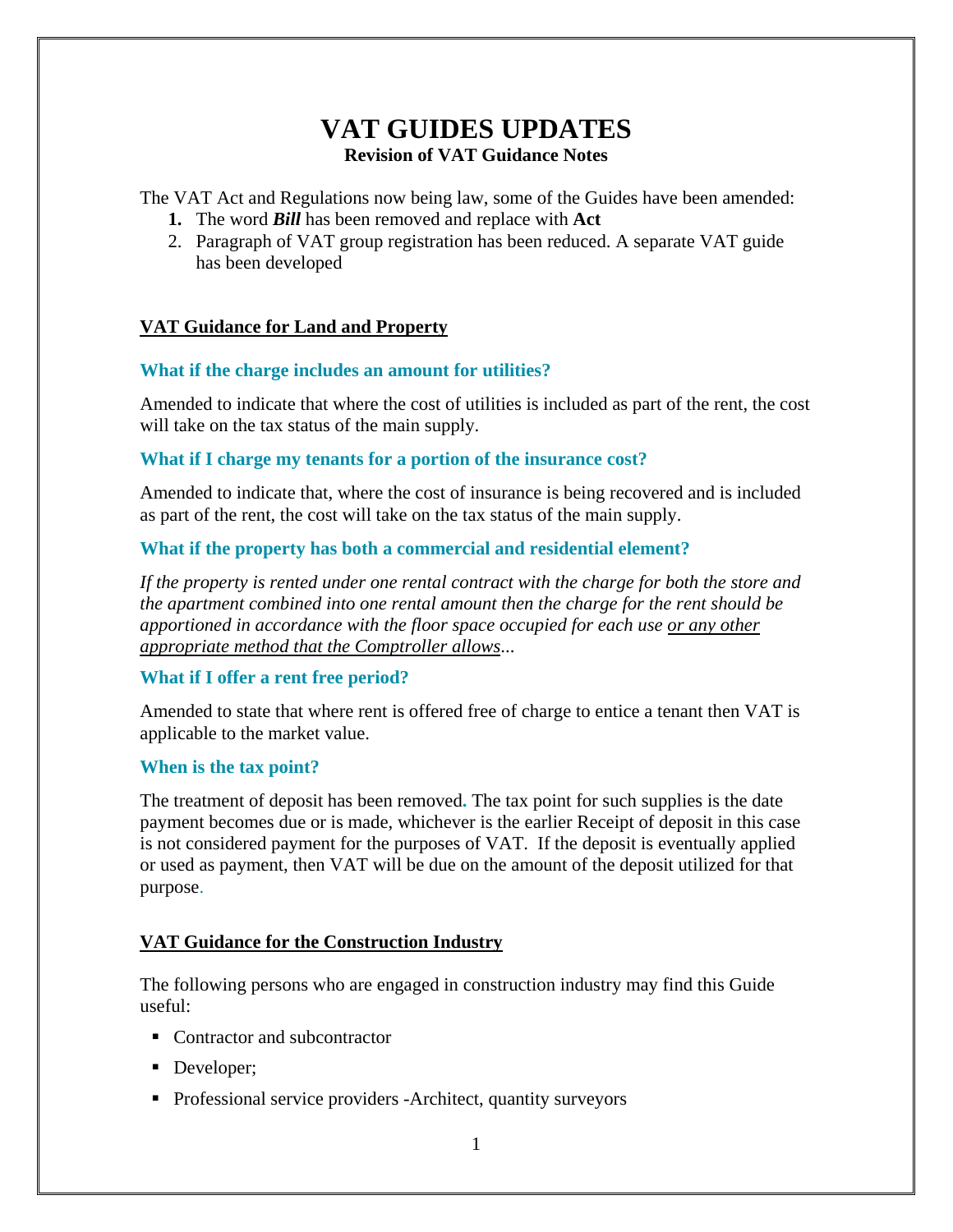# **VAT GUIDES UPDATES Revision of VAT Guidance Notes**

The VAT Act and Regulations now being law, some of the Guides have been amended:

- **1.** The word *Bill* has been removed and replace with **Act**
- 2. Paragraph of VAT group registration has been reduced. A separate VAT guide has been developed

# **VAT Guidance for Land and Property**

# **What if the charge includes an amount for utilities?**

Amended to indicate that where the cost of utilities is included as part of the rent, the cost will take on the tax status of the main supply.

# **What if I charge my tenants for a portion of the insurance cost?**

Amended to indicate that, where the cost of insurance is being recovered and is included as part of the rent, the cost will take on the tax status of the main supply.

# **What if the property has both a commercial and residential element?**

*If the property is rented under one rental contract with the charge for both the store and the apartment combined into one rental amount then the charge for the rent should be apportioned in accordance with the floor space occupied for each use or any other appropriate method that the Comptroller allows*...

# **What if I offer a rent free period?**

Amended to state that where rent is offered free of charge to entice a tenant then VAT is applicable to the market value.

# **When is the tax point?**

The treatment of deposit has been removed**.** The tax point for such supplies is the date payment becomes due or is made, whichever is the earlier Receipt of deposit in this case is not considered payment for the purposes of VAT. If the deposit is eventually applied or used as payment, then VAT will be due on the amount of the deposit utilized for that purpose.

# **VAT Guidance for the Construction Industry**

The following persons who are engaged in construction industry may find this Guide useful:

- Contractor and subcontractor
- Developer;
- Professional service providers -Architect, quantity surveyors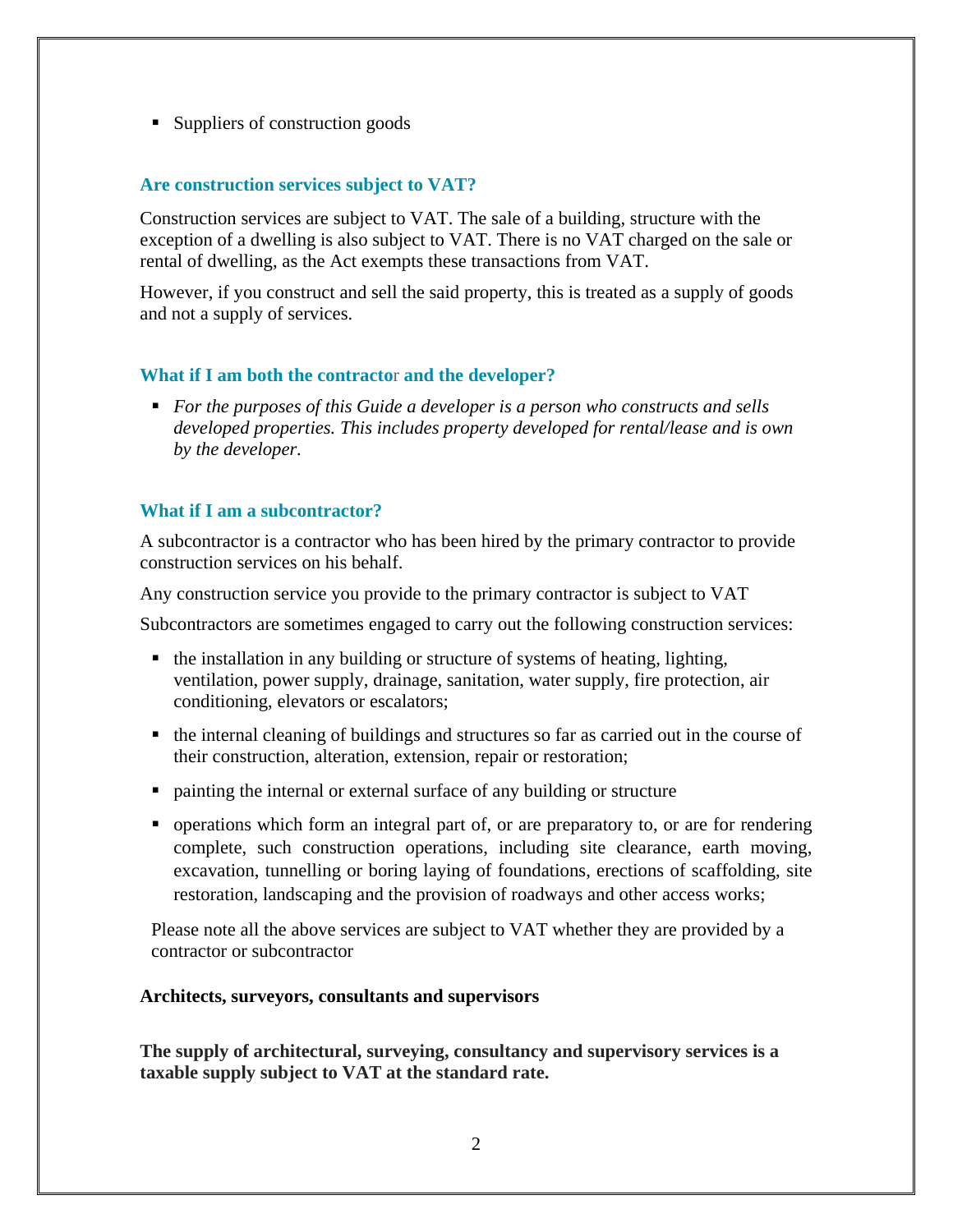■ Suppliers of construction goods

### **Are construction services subject to VAT?**

Construction services are subject to VAT. The sale of a building, structure with the exception of a dwelling is also subject to VAT. There is no VAT charged on the sale or rental of dwelling, as the Act exempts these transactions from VAT.

However, if you construct and sell the said property, this is treated as a supply of goods and not a supply of services.

### **What if I am both the contracto**r **and the developer?**

 *For the purposes of this Guide a developer is a person who constructs and sells developed properties. This includes property developed for rental/lease and is own by the developer.*

### **What if I am a subcontractor?**

A subcontractor is a contractor who has been hired by the primary contractor to provide construction services on his behalf.

Any construction service you provide to the primary contractor is subject to VAT

Subcontractors are sometimes engaged to carry out the following construction services:

- the installation in any building or structure of systems of heating, lighting, ventilation, power supply, drainage, sanitation, water supply, fire protection, air conditioning, elevators or escalators;
- the internal cleaning of buildings and structures so far as carried out in the course of their construction, alteration, extension, repair or restoration;
- painting the internal or external surface of any building or structure
- operations which form an integral part of, or are preparatory to, or are for rendering complete, such construction operations, including site clearance, earth moving, excavation, tunnelling or boring laying of foundations, erections of scaffolding, site restoration, landscaping and the provision of roadways and other access works;

Please note all the above services are subject to VAT whether they are provided by a contractor or subcontractor

### **Architects, surveyors, consultants and supervisors**

**The supply of architectural, surveying, consultancy and supervisory services is a taxable supply subject to VAT at the standard rate.**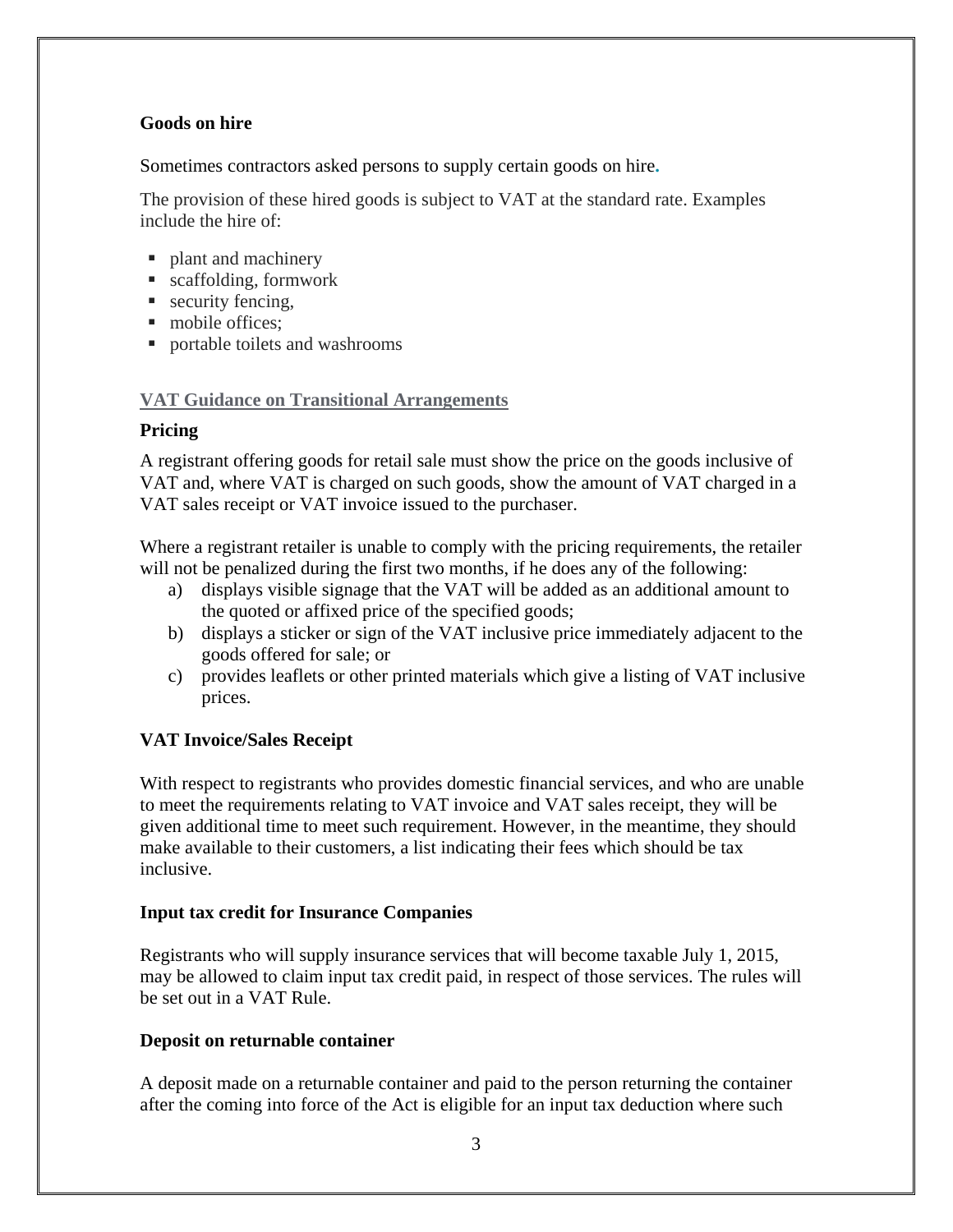# **Goods on hire**

Sometimes contractors asked persons to supply certain goods on hire**.**

The provision of these hired goods is subject to VAT at the standard rate. Examples include the hire of:

- plant and machinery
- scaffolding, formwork
- security fencing,
- mobile offices:
- portable toilets and washrooms

# **VAT Guidance on Transitional Arrangements**

# **Pricing**

A registrant offering goods for retail sale must show the price on the goods inclusive of VAT and, where VAT is charged on such goods, show the amount of VAT charged in a VAT sales receipt or VAT invoice issued to the purchaser.

Where a registrant retailer is unable to comply with the pricing requirements, the retailer will not be penalized during the first two months, if he does any of the following:

- a) displays visible signage that the VAT will be added as an additional amount to the quoted or affixed price of the specified goods;
- b) displays a sticker or sign of the VAT inclusive price immediately adjacent to the goods offered for sale; or
- c) provides leaflets or other printed materials which give a listing of VAT inclusive prices.

# **VAT Invoice/Sales Receipt**

With respect to registrants who provides domestic financial services, and who are unable to meet the requirements relating to VAT invoice and VAT sales receipt, they will be given additional time to meet such requirement. However, in the meantime, they should make available to their customers, a list indicating their fees which should be tax inclusive.

# **Input tax credit for Insurance Companies**

Registrants who will supply insurance services that will become taxable July 1, 2015, may be allowed to claim input tax credit paid, in respect of those services. The rules will be set out in a VAT Rule.

# **Deposit on returnable container**

A deposit made on a returnable container and paid to the person returning the container after the coming into force of the Act is eligible for an input tax deduction where such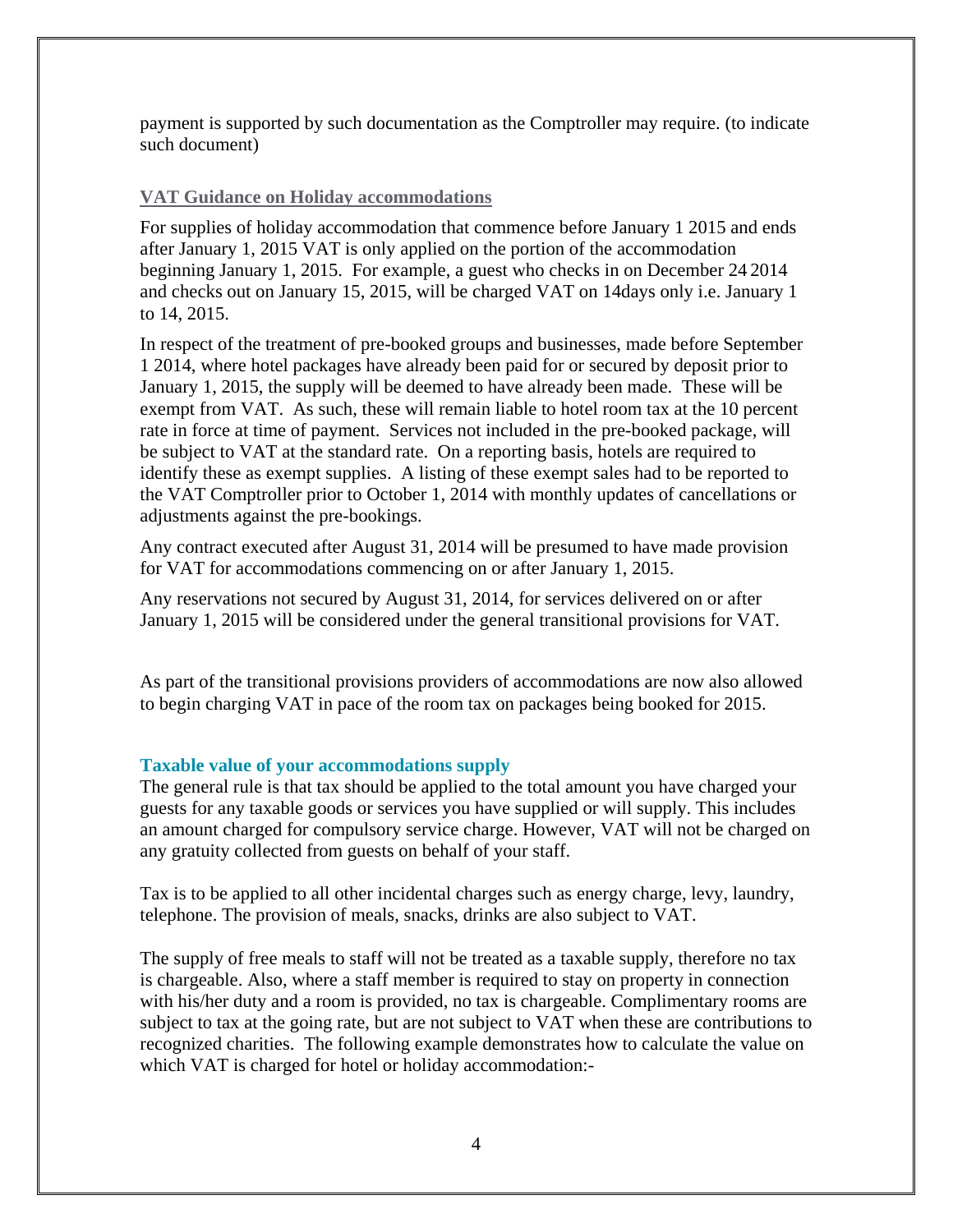payment is supported by such documentation as the Comptroller may require. (to indicate such document)

### **VAT Guidance on Holiday accommodations**

For supplies of holiday accommodation that commence before January 1 2015 and ends after January 1, 2015 VAT is only applied on the portion of the accommodation beginning January 1, 2015. For example, a guest who checks in on December 24 2014 and checks out on January 15, 2015, will be charged VAT on 14days only i.e. January 1 to 14, 2015.

In respect of the treatment of pre-booked groups and businesses, made before September 1 2014, where hotel packages have already been paid for or secured by deposit prior to January 1, 2015, the supply will be deemed to have already been made. These will be exempt from VAT. As such, these will remain liable to hotel room tax at the 10 percent rate in force at time of payment. Services not included in the pre-booked package, will be subject to VAT at the standard rate. On a reporting basis, hotels are required to identify these as exempt supplies. A listing of these exempt sales had to be reported to the VAT Comptroller prior to October 1, 2014 with monthly updates of cancellations or adjustments against the pre-bookings.

Any contract executed after August 31, 2014 will be presumed to have made provision for VAT for accommodations commencing on or after January 1, 2015.

Any reservations not secured by August 31, 2014, for services delivered on or after January 1, 2015 will be considered under the general transitional provisions for VAT.

As part of the transitional provisions providers of accommodations are now also allowed to begin charging VAT in pace of the room tax on packages being booked for 2015.

### **Taxable value of your accommodations supply**

The general rule is that tax should be applied to the total amount you have charged your guests for any taxable goods or services you have supplied or will supply. This includes an amount charged for compulsory service charge. However, VAT will not be charged on any gratuity collected from guests on behalf of your staff.

Tax is to be applied to all other incidental charges such as energy charge, levy, laundry, telephone. The provision of meals, snacks, drinks are also subject to VAT.

The supply of free meals to staff will not be treated as a taxable supply, therefore no tax is chargeable. Also, where a staff member is required to stay on property in connection with his/her duty and a room is provided, no tax is chargeable. Complimentary rooms are subject to tax at the going rate, but are not subject to VAT when these are contributions to recognized charities. The following example demonstrates how to calculate the value on which VAT is charged for hotel or holiday accommodation:-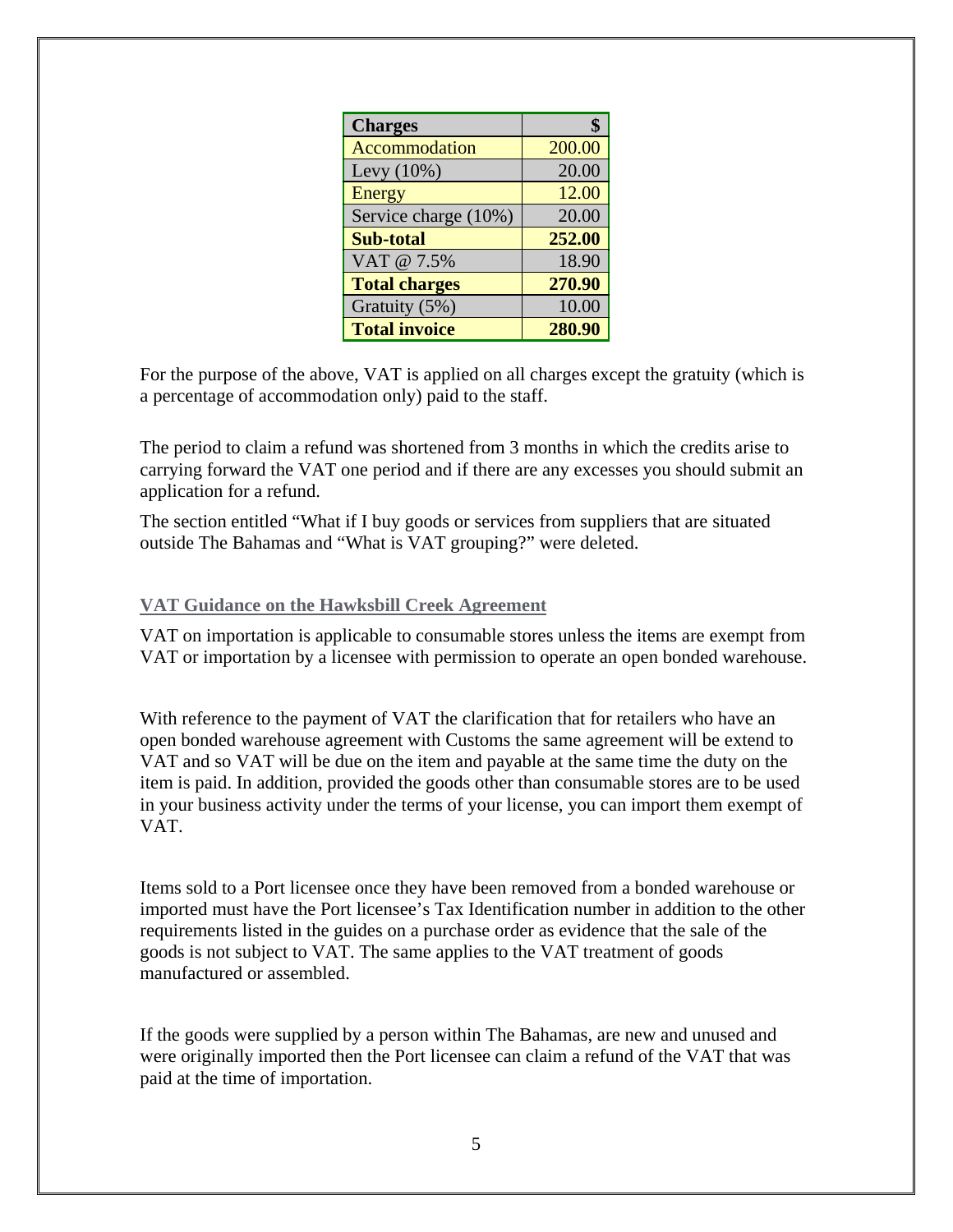| <b>Charges</b>       |        |
|----------------------|--------|
| Accommodation        | 200.00 |
| Levy $(10\%)$        | 20.00  |
| Energy               | 12.00  |
| Service charge (10%) | 20.00  |
| <b>Sub-total</b>     | 252.00 |
| VAT @ 7.5%           | 18.90  |
| <b>Total charges</b> | 270.90 |
| Gratuity (5%)        | 10.00  |
| <b>Total invoice</b> | 280.90 |

For the purpose of the above, VAT is applied on all charges except the gratuity (which is a percentage of accommodation only) paid to the staff.

The period to claim a refund was shortened from 3 months in which the credits arise to carrying forward the VAT one period and if there are any excesses you should submit an application for a refund.

The section entitled "What if I buy goods or services from suppliers that are situated outside The Bahamas and "What is VAT grouping?" were deleted.

#### **VAT Guidance on the Hawksbill Creek Agreement**

VAT on importation is applicable to consumable stores unless the items are exempt from VAT or importation by a licensee with permission to operate an open bonded warehouse.

With reference to the payment of VAT the clarification that for retailers who have an open bonded warehouse agreement with Customs the same agreement will be extend to VAT and so VAT will be due on the item and payable at the same time the duty on the item is paid. In addition, provided the goods other than consumable stores are to be used in your business activity under the terms of your license, you can import them exempt of VAT.

Items sold to a Port licensee once they have been removed from a bonded warehouse or imported must have the Port licensee's Tax Identification number in addition to the other requirements listed in the guides on a purchase order as evidence that the sale of the goods is not subject to VAT. The same applies to the VAT treatment of goods manufactured or assembled.

If the goods were supplied by a person within The Bahamas, are new and unused and were originally imported then the Port licensee can claim a refund of the VAT that was paid at the time of importation.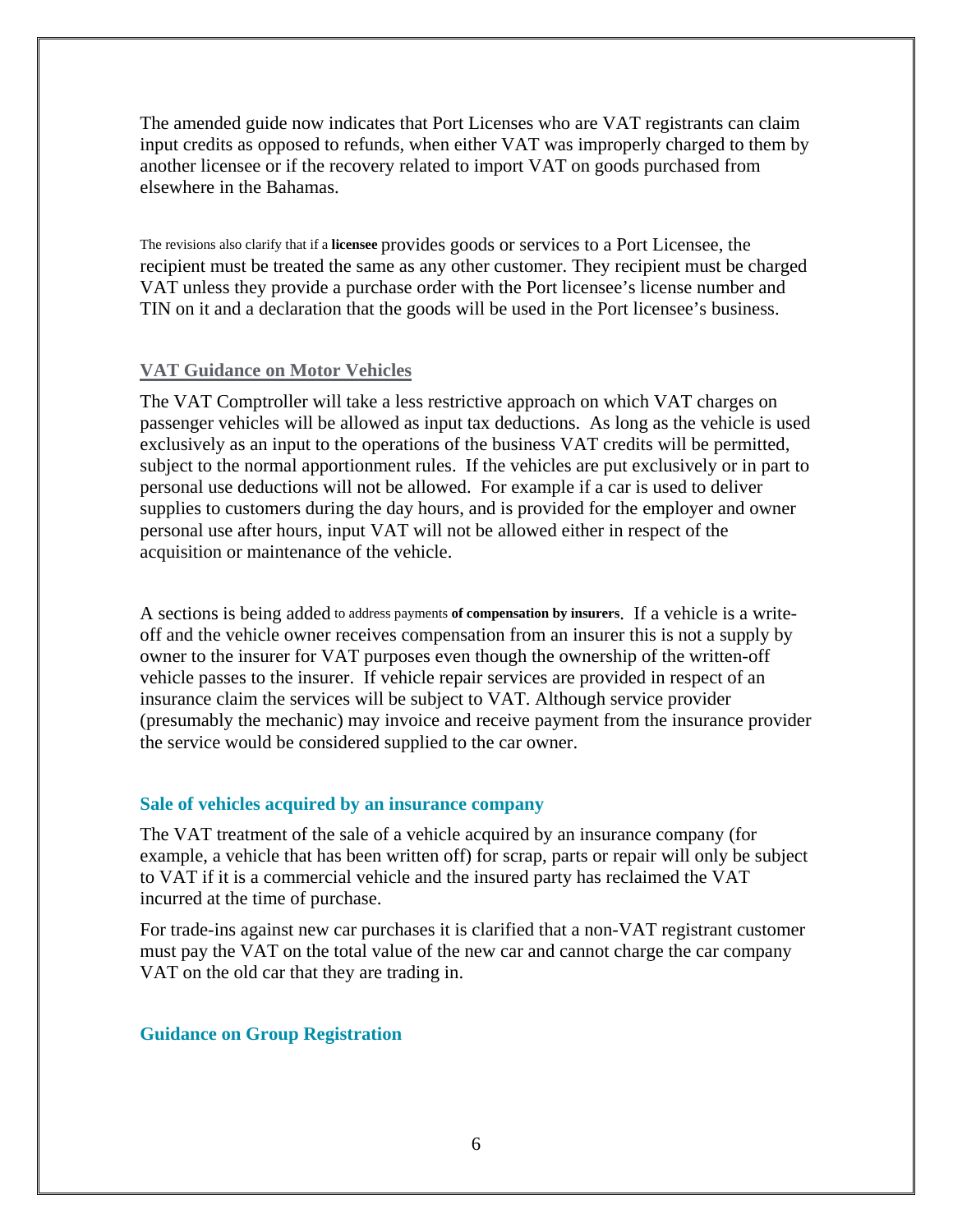The amended guide now indicates that Port Licenses who are VAT registrants can claim input credits as opposed to refunds, when either VAT was improperly charged to them by another licensee or if the recovery related to import VAT on goods purchased from elsewhere in the Bahamas.

The revisions also clarify that if a **licensee** provides goods or services to a Port Licensee, the recipient must be treated the same as any other customer. They recipient must be charged VAT unless they provide a purchase order with the Port licensee's license number and TIN on it and a declaration that the goods will be used in the Port licensee's business.

#### **VAT Guidance on Motor Vehicles**

The VAT Comptroller will take a less restrictive approach on which VAT charges on passenger vehicles will be allowed as input tax deductions. As long as the vehicle is used exclusively as an input to the operations of the business VAT credits will be permitted, subject to the normal apportionment rules. If the vehicles are put exclusively or in part to personal use deductions will not be allowed. For example if a car is used to deliver supplies to customers during the day hours, and is provided for the employer and owner personal use after hours, input VAT will not be allowed either in respect of the acquisition or maintenance of the vehicle.

A sections is being added to address payments **of compensation by insurers**. If a vehicle is a writeoff and the vehicle owner receives compensation from an insurer this is not a supply by owner to the insurer for VAT purposes even though the ownership of the written-off vehicle passes to the insurer. If vehicle repair services are provided in respect of an insurance claim the services will be subject to VAT. Although service provider (presumably the mechanic) may invoice and receive payment from the insurance provider the service would be considered supplied to the car owner.

#### **Sale of vehicles acquired by an insurance company**

The VAT treatment of the sale of a vehicle acquired by an insurance company (for example, a vehicle that has been written off) for scrap, parts or repair will only be subject to VAT if it is a commercial vehicle and the insured party has reclaimed the VAT incurred at the time of purchase.

For trade-ins against new car purchases it is clarified that a non-VAT registrant customer must pay the VAT on the total value of the new car and cannot charge the car company VAT on the old car that they are trading in.

#### **Guidance on Group Registration**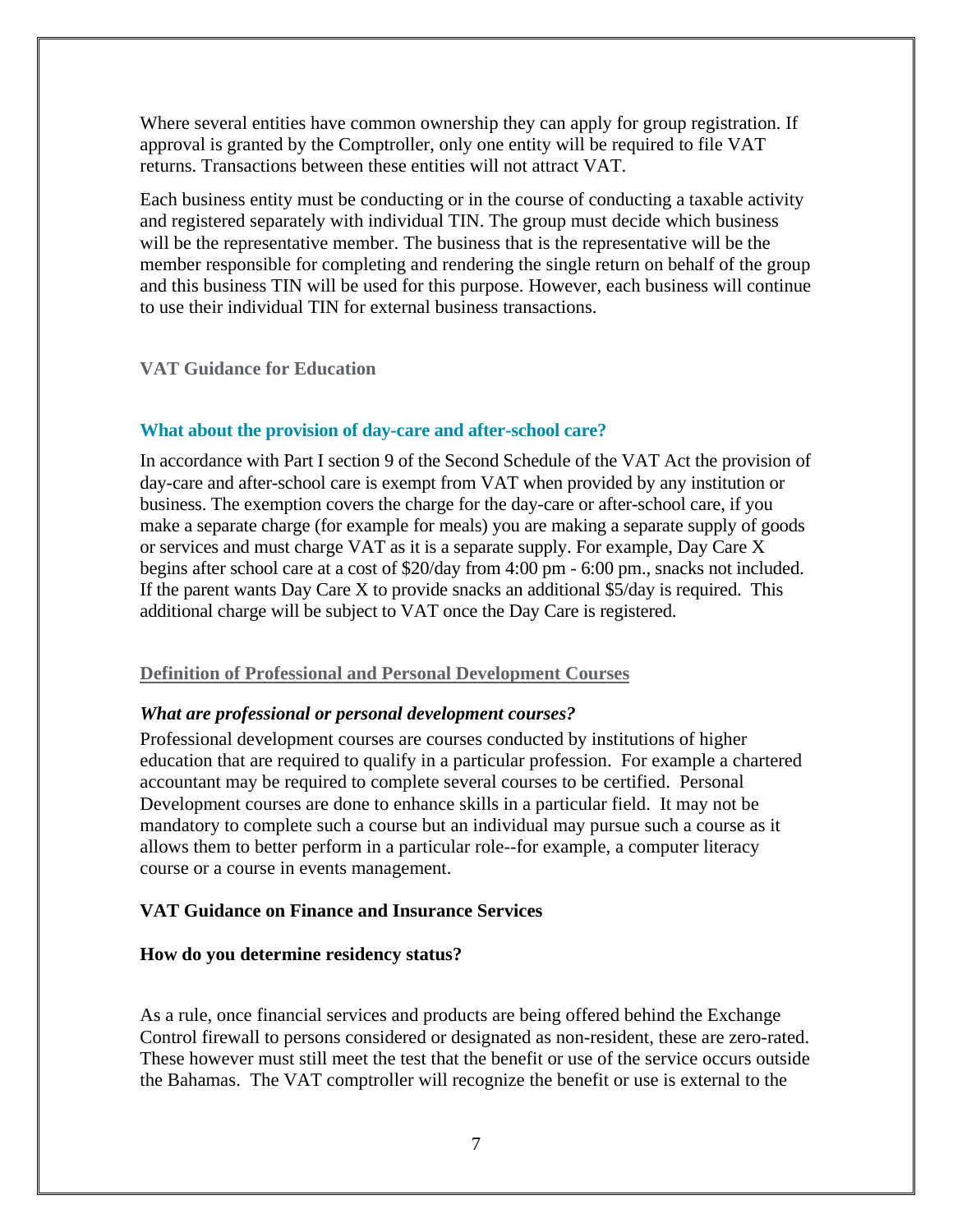Where several entities have common ownership they can apply for group registration. If approval is granted by the Comptroller, only one entity will be required to file VAT returns. Transactions between these entities will not attract VAT.

Each business entity must be conducting or in the course of conducting a taxable activity and registered separately with individual TIN. The group must decide which business will be the representative member. The business that is the representative will be the member responsible for completing and rendering the single return on behalf of the group and this business TIN will be used for this purpose. However, each business will continue to use their individual TIN for external business transactions.

### **VAT Guidance for Education**

### **What about the provision of day-care and after-school care?**

In accordance with Part I section 9 of the Second Schedule of the VAT Act the provision of day-care and after-school care is exempt from VAT when provided by any institution or business. The exemption covers the charge for the day-care or after-school care, if you make a separate charge (for example for meals) you are making a separate supply of goods or services and must charge VAT as it is a separate supply. For example, Day Care X begins after school care at a cost of \$20/day from 4:00 pm - 6:00 pm., snacks not included. If the parent wants Day Care X to provide snacks an additional \$5/day is required. This additional charge will be subject to VAT once the Day Care is registered.

### **Definition of Professional and Personal Development Courses**

### *What are professional or personal development courses?*

Professional development courses are courses conducted by institutions of higher education that are required to qualify in a particular profession. For example a chartered accountant may be required to complete several courses to be certified. Personal Development courses are done to enhance skills in a particular field. It may not be mandatory to complete such a course but an individual may pursue such a course as it allows them to better perform in a particular role--for example, a computer literacy course or a course in events management.

# **VAT Guidance on Finance and Insurance Services**

### **How do you determine residency status?**

As a rule, once financial services and products are being offered behind the Exchange Control firewall to persons considered or designated as non-resident, these are zero-rated. These however must still meet the test that the benefit or use of the service occurs outside the Bahamas. The VAT comptroller will recognize the benefit or use is external to the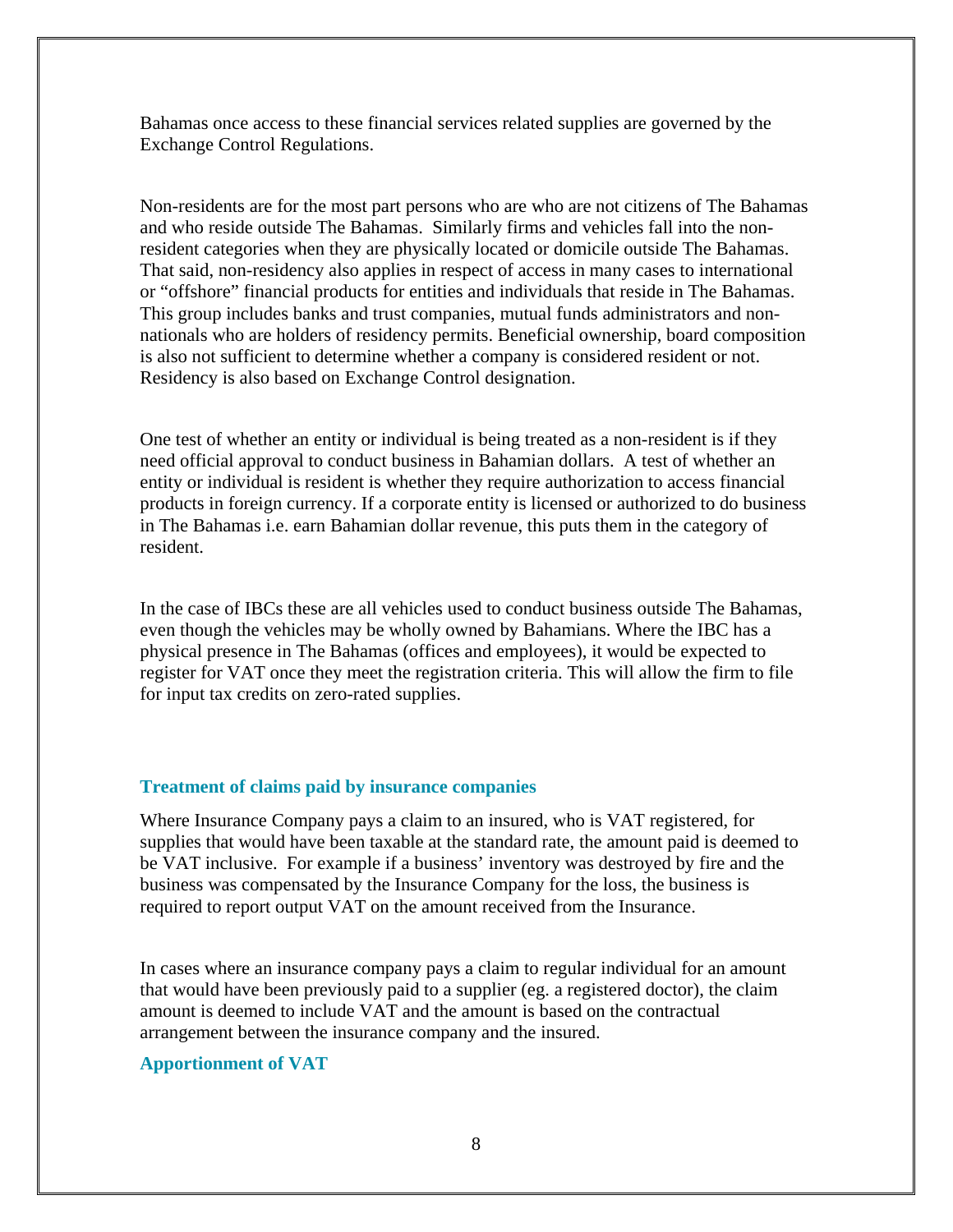Bahamas once access to these financial services related supplies are governed by the Exchange Control Regulations.

Non-residents are for the most part persons who are who are not citizens of The Bahamas and who reside outside The Bahamas. Similarly firms and vehicles fall into the nonresident categories when they are physically located or domicile outside The Bahamas. That said, non-residency also applies in respect of access in many cases to international or "offshore" financial products for entities and individuals that reside in The Bahamas. This group includes banks and trust companies, mutual funds administrators and nonnationals who are holders of residency permits. Beneficial ownership, board composition is also not sufficient to determine whether a company is considered resident or not. Residency is also based on Exchange Control designation.

One test of whether an entity or individual is being treated as a non-resident is if they need official approval to conduct business in Bahamian dollars. A test of whether an entity or individual is resident is whether they require authorization to access financial products in foreign currency. If a corporate entity is licensed or authorized to do business in The Bahamas i.e. earn Bahamian dollar revenue, this puts them in the category of resident.

In the case of IBCs these are all vehicles used to conduct business outside The Bahamas, even though the vehicles may be wholly owned by Bahamians. Where the IBC has a physical presence in The Bahamas (offices and employees), it would be expected to register for VAT once they meet the registration criteria. This will allow the firm to file for input tax credits on zero-rated supplies.

#### **Treatment of claims paid by insurance companies**

Where Insurance Company pays a claim to an insured, who is VAT registered, for supplies that would have been taxable at the standard rate, the amount paid is deemed to be VAT inclusive. For example if a business' inventory was destroyed by fire and the business was compensated by the Insurance Company for the loss, the business is required to report output VAT on the amount received from the Insurance.

In cases where an insurance company pays a claim to regular individual for an amount that would have been previously paid to a supplier (eg. a registered doctor), the claim amount is deemed to include VAT and the amount is based on the contractual arrangement between the insurance company and the insured.

#### **Apportionment of VAT**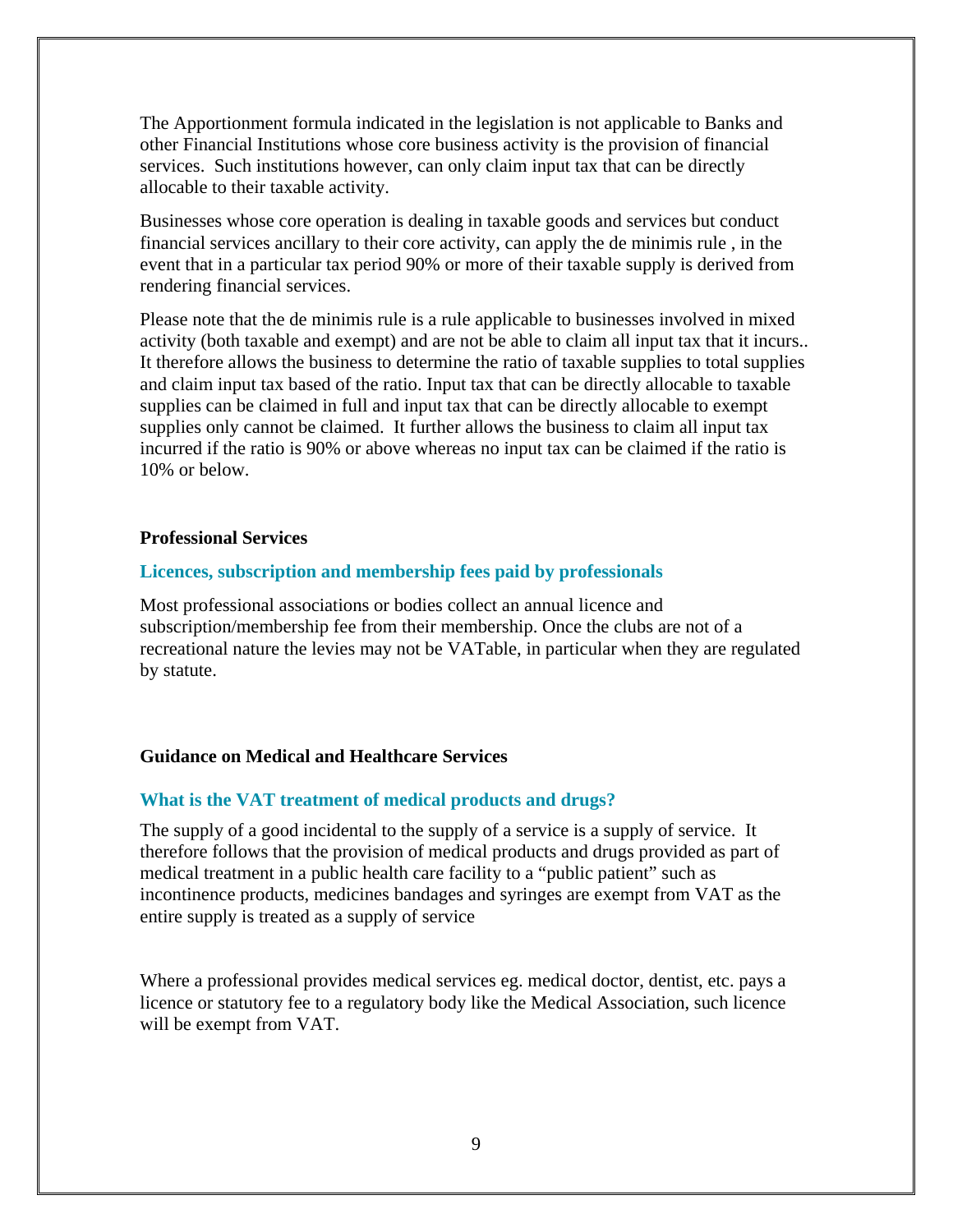The Apportionment formula indicated in the legislation is not applicable to Banks and other Financial Institutions whose core business activity is the provision of financial services. Such institutions however, can only claim input tax that can be directly allocable to their taxable activity.

Businesses whose core operation is dealing in taxable goods and services but conduct financial services ancillary to their core activity, can apply the de minimis rule , in the event that in a particular tax period 90% or more of their taxable supply is derived from rendering financial services.

Please note that the de minimis rule is a rule applicable to businesses involved in mixed activity (both taxable and exempt) and are not be able to claim all input tax that it incurs.. It therefore allows the business to determine the ratio of taxable supplies to total supplies and claim input tax based of the ratio. Input tax that can be directly allocable to taxable supplies can be claimed in full and input tax that can be directly allocable to exempt supplies only cannot be claimed. It further allows the business to claim all input tax incurred if the ratio is 90% or above whereas no input tax can be claimed if the ratio is 10% or below.

#### **Professional Services**

#### **Licences, subscription and membership fees paid by professionals**

Most professional associations or bodies collect an annual licence and subscription/membership fee from their membership. Once the clubs are not of a recreational nature the levies may not be VATable, in particular when they are regulated by statute.

#### **Guidance on Medical and Healthcare Services**

#### **What is the VAT treatment of medical products and drugs?**

The supply of a good incidental to the supply of a service is a supply of service. It therefore follows that the provision of medical products and drugs provided as part of medical treatment in a public health care facility to a "public patient" such as incontinence products, medicines bandages and syringes are exempt from VAT as the entire supply is treated as a supply of service

Where a professional provides medical services eg. medical doctor, dentist, etc. pays a licence or statutory fee to a regulatory body like the Medical Association, such licence will be exempt from VAT.